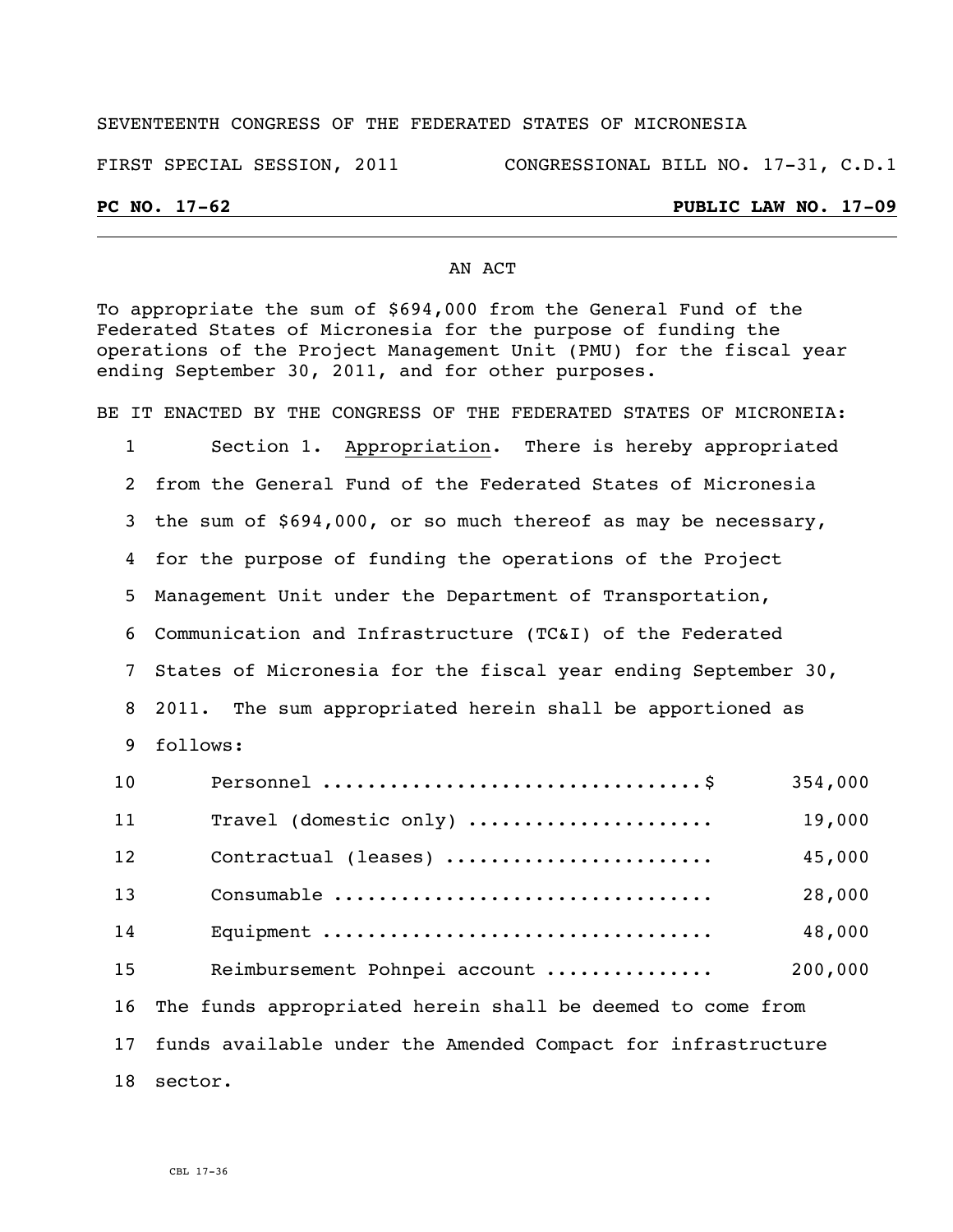#### SEVENTEENTH CONGRESS OF THE FEDERATED STATES OF MICRONESIA

FIRST SPECIAL SESSION, 2011 CONGRESSIONAL BILL NO. 17-31, C.D.1

### **PC NO. 17-62 PUBLIC LAW NO. 17-09**

#### AN ACT

To appropriate the sum of \$694,000 from the General Fund of the Federated States of Micronesia for the purpose of funding the operations of the Project Management Unit (PMU) for the fiscal year ending September 30, 2011, and for other purposes.

BE IT ENACTED BY THE CONGRESS OF THE FEDERATED STATES OF MICRONEIA: Section 1. Appropriation. There is hereby appropriated from the General Fund of the Federated States of Micronesia the sum of \$694,000, or so much thereof as may be necessary, for the purpose of funding the operations of the Project Management Unit under the Department of Transportation, Communication and Infrastructure (TC&I) of the Federated States of Micronesia for the fiscal year ending September 30, 2011. The sum appropriated herein shall be apportioned as follows: Personnel ..................................\$ 354,000 Travel (domestic only) ...................... 19,000 Contractual (leases) ........................ 45,000 Consumable .................................. 28,000 Equipment ................................... 48,000 Reimbursement Pohnpei account ............... 200,000 The funds appropriated herein shall be deemed to come from funds available under the Amended Compact for infrastructure sector.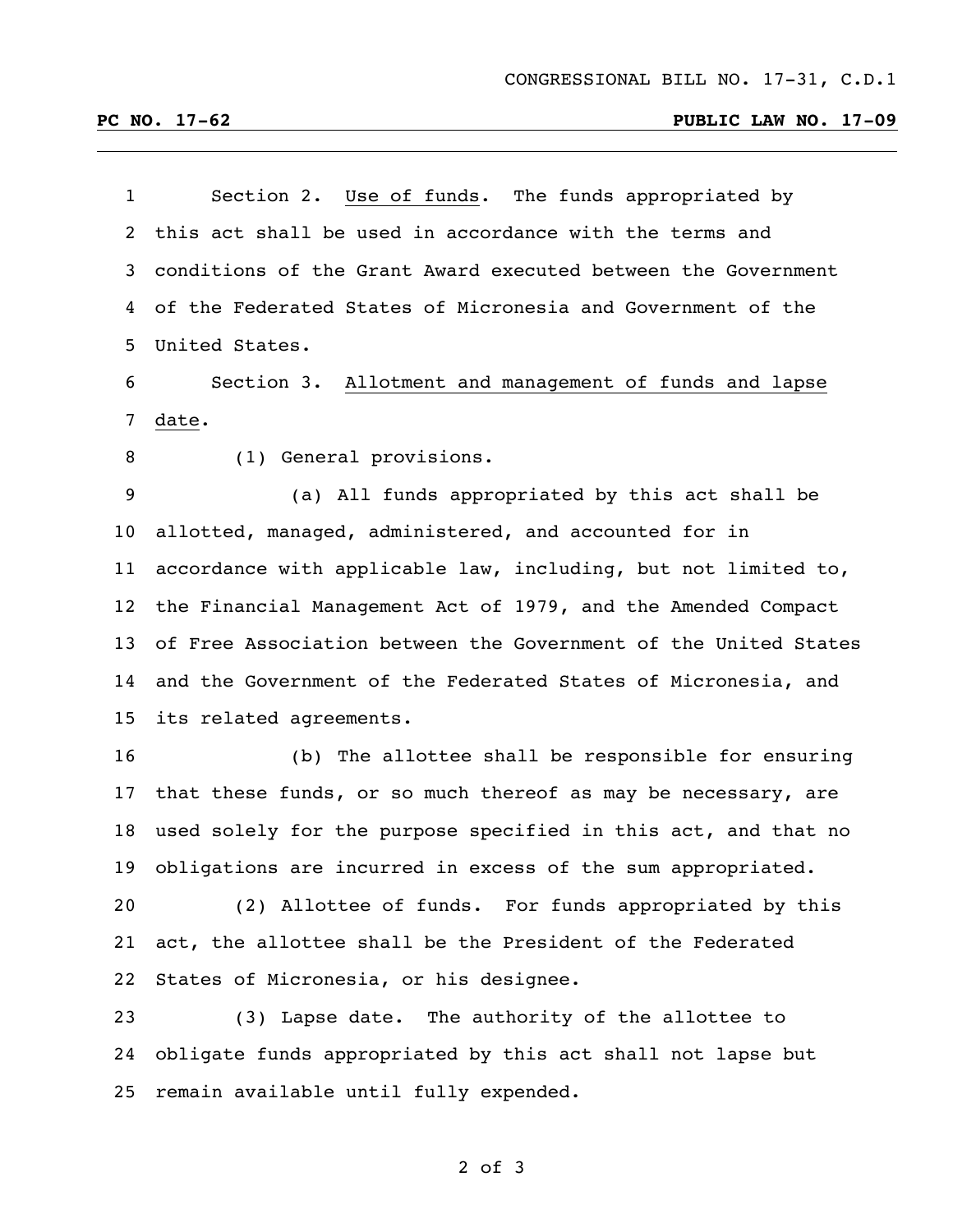## **PC NO. 17-62 PUBLIC LAW NO. 17-09**

| 1  | Section 2. Use of funds. The funds appropriated by              |
|----|-----------------------------------------------------------------|
| 2  | this act shall be used in accordance with the terms and         |
| 3  | conditions of the Grant Award executed between the Government   |
| 4  | of the Federated States of Micronesia and Government of the     |
| 5  | United States.                                                  |
| 6  | Section 3. Allotment and management of funds and lapse          |
| 7  | date.                                                           |
| 8  | (1) General provisions.                                         |
| 9  | (a) All funds appropriated by this act shall be                 |
| 10 | allotted, managed, administered, and accounted for in           |
| 11 | accordance with applicable law, including, but not limited to,  |
| 12 | the Financial Management Act of 1979, and the Amended Compact   |
| 13 | of Free Association between the Government of the United States |
| 14 | and the Government of the Federated States of Micronesia, and   |
| 15 | its related agreements.                                         |
| 16 | (b) The allottee shall be responsible for ensuring              |
| 17 | that these funds, or so much thereof as may be necessary, are   |
| 18 | used solely for the purpose specified in this act, and that no  |
| 19 | obligations are incurred in excess of the sum appropriated.     |
| 20 | (2) Allottee of funds. For funds appropriated by this           |
| 21 | act, the allottee shall be the President of the Federated       |
| 22 | States of Micronesia, or his designee.                          |
| 23 | (3) Lapse date. The authority of the allottee to                |
| 24 | obligate funds appropriated by this act shall not lapse but     |

remain available until fully expended.

of 3